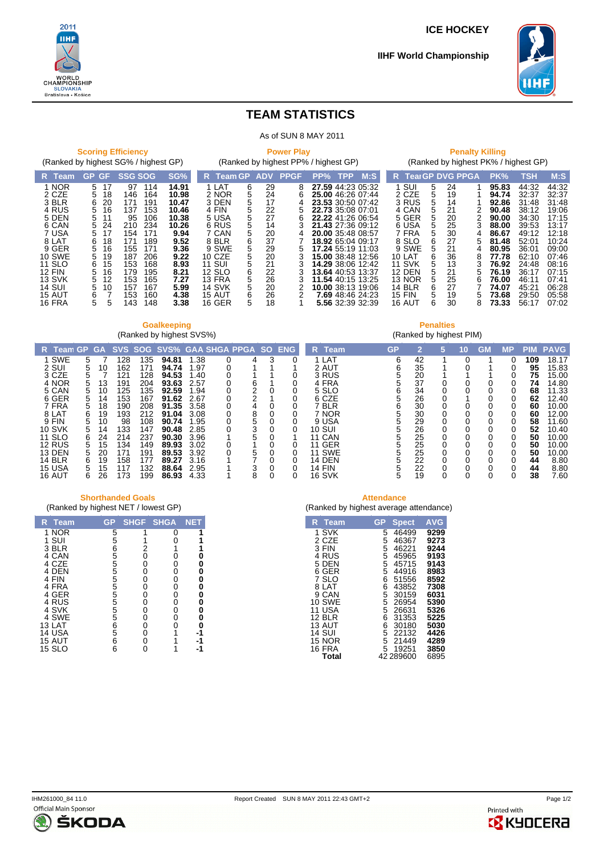**ICE HOCKEY**



**IIHF World Championship**

**Penalties** (Ranked by highest PIM)



## **TEAM STATISTICS**

| As of SUN 8 MAY 2011                                                                                                                                                                                                                                                                                                                                                                                                                                                                                                                                                                                                                                                                                                                |                                                                                                                                                                                                                                                                                                                                                                                                                                                                                                                                                                                                                                                                                                                                                                                                     |                                                                                                                                                                                                                                                                                                                                                                                                                                                                                                                                                                                                                                                                                                                                                                                                                                                                             |  |  |  |
|-------------------------------------------------------------------------------------------------------------------------------------------------------------------------------------------------------------------------------------------------------------------------------------------------------------------------------------------------------------------------------------------------------------------------------------------------------------------------------------------------------------------------------------------------------------------------------------------------------------------------------------------------------------------------------------------------------------------------------------|-----------------------------------------------------------------------------------------------------------------------------------------------------------------------------------------------------------------------------------------------------------------------------------------------------------------------------------------------------------------------------------------------------------------------------------------------------------------------------------------------------------------------------------------------------------------------------------------------------------------------------------------------------------------------------------------------------------------------------------------------------------------------------------------------------|-----------------------------------------------------------------------------------------------------------------------------------------------------------------------------------------------------------------------------------------------------------------------------------------------------------------------------------------------------------------------------------------------------------------------------------------------------------------------------------------------------------------------------------------------------------------------------------------------------------------------------------------------------------------------------------------------------------------------------------------------------------------------------------------------------------------------------------------------------------------------------|--|--|--|
| <b>Scoring Efficiency</b><br>(Ranked by highest SG% / highest GP)                                                                                                                                                                                                                                                                                                                                                                                                                                                                                                                                                                                                                                                                   | <b>Power Play</b><br>(Ranked by highest PP% / highest GP)                                                                                                                                                                                                                                                                                                                                                                                                                                                                                                                                                                                                                                                                                                                                           | <b>Penalty Killing</b><br>(Ranked by highest PK% / highest GP)                                                                                                                                                                                                                                                                                                                                                                                                                                                                                                                                                                                                                                                                                                                                                                                                              |  |  |  |
| SG%<br><b>SSG SOG</b><br><b>GP</b><br>GF.<br>R Team                                                                                                                                                                                                                                                                                                                                                                                                                                                                                                                                                                                                                                                                                 | M:<br>R Team GP<br><b>PPGF</b><br>$PP\%$<br><b>TPP</b><br><b>ADV</b>                                                                                                                                                                                                                                                                                                                                                                                                                                                                                                                                                                                                                                                                                                                                | M.S<br><b>TearGP DVG PPGA</b><br>TSH<br>PK%<br>R.                                                                                                                                                                                                                                                                                                                                                                                                                                                                                                                                                                                                                                                                                                                                                                                                                           |  |  |  |
| 1 NOR<br>97<br>14.91<br>5<br>17<br>114<br>2 CZE<br>5<br>146<br>164<br>10.98<br>18<br>3 BLR<br>20<br>171<br>6<br>191<br>10.47<br>4 RUS<br>5<br>16<br>10.46<br>137<br>153<br>5 DEN<br>5<br>10.38<br>106<br>95<br>11<br>6 CAN<br>5<br>24<br>234<br>10.26<br>210<br>7 USA<br>9.94<br>154<br>171<br>5<br>17<br>8 LAT<br>9.52<br>6<br>171<br>189<br>18<br>9 GER<br>5<br>16<br>9.36<br>155<br>171<br><b>10 SWE</b><br>5<br>9.22<br>19<br>187<br>206<br><b>11 SLO</b><br>6<br>15<br>153<br>168<br>8.93<br><b>12 FIN</b><br>5<br>16<br>8.21<br>179<br>195<br>13 SVK<br>5<br>7.27<br>12<br>153<br>165<br><b>14 SUI</b><br>5<br>10<br>157<br>167<br>5.99<br>15 AUT<br>6<br>4.38<br>153<br>160<br>5<br><b>16 FRA</b><br>143<br>148<br>3.38<br>5 | 1 LAT<br>29<br>6<br>27.59 44:23 05:32<br>8<br>5<br>2 NOR<br>24<br>25.00 46:26 07:44<br>6<br>5<br>3 DEN<br>17<br>23.53 30:50 07:42<br>5<br>4 FIN<br>22<br>22.73 35:08 07:01<br>5<br>5<br>27<br>5 USA<br>22.22 41:26 06:54<br>6<br>5<br>6 RUS<br>21.43 27:36 09:12<br>14<br>5<br>7 CAN<br>20<br>20.00 35:48 08:57<br>6<br>37<br>8 BLR<br><b>18.92</b> 65:04 09:17<br>5<br>29<br>9 SWE<br>17.24 55:19 11:03<br>5<br>5<br>20<br>10 CZE<br>3<br><b>15.00</b> 38:48 12:56<br>5<br><b>11 SUI</b><br>21<br>3<br><b>14.29</b> 38:06 12:42<br>6<br><b>12 SLO</b><br>22<br>3<br>13.64 40.53 13:37<br>5<br>26<br><b>13 FRA</b><br>3<br><b>11.54</b> 40:15 13:25<br>5<br><b>14 SVK</b><br>20<br>1 <b>0.00</b> 38:13 19:06<br>6<br>26<br>2<br>7.69 48:46 24:23<br>15 AUT<br>5<br>18<br>16 GER<br>5.56 32:39 32:39 | SUI<br>95.83<br>44:32<br>5<br>24<br>44:32<br>2 CZE<br>5<br>19<br>32:37<br>32:37<br>94.74<br>5<br>3 RUS<br>92.86<br>31:48<br>31:48<br>14<br>4 CAN<br>5<br>21<br>19:06<br>90.48<br>38:12<br>5<br>5 GER<br>2<br>20<br>90.00<br>34:30<br>17:15<br>5<br>6 USA<br>25<br>3<br>88.00<br>39:53<br>13:17<br>7 FRA<br>5<br>30<br>12:18<br>86.67<br>49:12<br>4<br>6<br>27<br>8 SLO<br>81.48<br>10:24<br>52:01<br>5<br>9 SWE<br>5<br>21<br>80.95<br>36:01<br>09:00<br>4<br>6<br>36<br><b>10 LAT</b><br>8<br>77.78<br>62:10<br>07:46<br><b>11 SVK</b><br>5<br>13<br>3<br>08:16<br>76.92<br>24:48<br>5<br><b>12 DEN</b><br>21<br>07:15<br>5<br>76.19<br>36:17<br>5<br>25<br>13 NOR<br>76.00<br>46:11<br>07:41<br>6<br>27<br><b>14 BLR</b><br>6<br>74.07<br>06:28<br>45:21<br>5<br><b>15 FIN</b><br>19<br>73.68<br>05:58<br>29:50<br>5<br>6<br>30<br>56:17<br>07:02<br>16 AUT<br>8<br>73.33 |  |  |  |

## **Goalkeeping** (Ranked by highest SVS%)

**R Team GP GA SVS SOG SVS% GAA SHGA PPGA SO ENG**<br> **1 SWE 5 7 128 135 94.81 1.38 0 4 3 0**<br> **2 SUI 5 10 162 171 94.74 1.97 0 1 1 1**<br> **3 CZE 5 7 121 12** 1 SWE 5 7 128 135 **94.81** 1.38 0 4 3 0<br>
2 SUI 5 10 162 171 **94.74** 1.97 0 1 1 1 0<br>
4 NOR 5 13 191 204 **93.63** 2.57 0 6 1 0<br>
5 CAN 5 10 125 135 **92.59** 1.94 0 2 0 0<br>
6 GERA 5 10 125 135 **92.59** 1.94 0 2 0 0<br>
6 GERA 5 18 19 **R Team GP 2 5 10 GM MP PIM PAVG**  $\begin{tabular}{lcccc} 1 LAT & 6 & 42 & 1 & 0 & 1 & 0 & \textbf{109} & 18.17 \\ 2 AUT & 6 & 35 & 1 & 0 & 1 & 0 & \textbf{95} & 15.83 \\ 3 REG & 5 & 20 & 1 & 1 & 1 & 0 & 75 & 15.03 \\ 4 FRA & 5 & 37 & 0 & 0 & 0 & 0 & 74 & 14.80 \\ 5 SLO & 6 & 34 & 0 & 0 & 0 & 0 & 68 & 11.33 \\ 6 CZE & 5 & 26 & 0 & 1 & 0 & 0 & 62 & 1$ 10 SUI 5 26 0 0 0 0 52 10.40<br>11 CAN 5 25 0 0 0 0 50 10.00<br>11 GER 5 25 0 0 0 0 50 10.00<br>14 DEN 5 25 0 0 0 0 50 10.00<br>14 DEN 5 22 0 0 0 0 44 8.80<br>14 FIN 5 22 0 0 0 0 44 8.80<br>16 SVK 5 19 0 0 0 38 7.60

## **Shorthanded Goals**

| (Ranked by highest NET / lowest GP) |  |
|-------------------------------------|--|
|-------------------------------------|--|

| R<br>Team      | GP        | <b>SHGF</b> | <b>SHGA</b> | <b>NET</b> |
|----------------|-----------|-------------|-------------|------------|
| <b>NOR</b>     | 5         |             | 0           |            |
| SUI<br>1       | 5         |             |             |            |
| 3 BLR          | 655555555 | 2           |             |            |
| 4 CAN          |           | 0           | 0           | D          |
| 4 CZE          |           | 0           | 0           | 0          |
| 4 DEN          |           | 0           | 0           | 0          |
| 4 FIN          |           | 0           | 0           | 0          |
| 4 FRA          |           | 0           | 0           | 0          |
| 4 GER<br>4 RUS |           | 0           | 0           | 0          |
| 4 SVK          |           | 0<br>0      | 0<br>0      | 0<br>0     |
| 4 SWE          |           | 0           | 0           | 0          |
| 13 LAT         |           | 0           | ი           |            |
| 14 USA         | 6<br>5    | 0           |             |            |
| 15 AUT         | 6         | 0           |             |            |
| <b>15 SLO</b>  | 6         |             |             |            |
|                |           |             |             |            |

|                                                                                                                                                                           | <b>Attendance</b>                                                            |                                                                                                                                              |                                                                                                                              |  |
|---------------------------------------------------------------------------------------------------------------------------------------------------------------------------|------------------------------------------------------------------------------|----------------------------------------------------------------------------------------------------------------------------------------------|------------------------------------------------------------------------------------------------------------------------------|--|
| (Ranked by highest average attendance)                                                                                                                                    |                                                                              |                                                                                                                                              |                                                                                                                              |  |
| R<br>Team                                                                                                                                                                 | GP                                                                           | <b>Spect</b>                                                                                                                                 | <b>AVG</b>                                                                                                                   |  |
| <b>SVK</b><br>1<br>CZE<br>2<br>3 FIN<br>4 RUS<br>5 DFN<br>6 GER<br>7 SI O<br>8 I AT<br>CAN<br>9<br>10 SWE<br>USA<br>11<br>12 BI R<br>13 AUT<br>14 SUI<br>15 NOR<br>16 FRA | 5<br>5<br>5<br>5<br>5<br>5<br>6<br>6<br>5<br>5<br>5<br>6<br>6<br>5<br>5<br>5 | 46499<br>46367<br>46221<br>45965<br>45715<br>44916<br>51556<br>43852<br>30159<br>26954<br>26631<br>31353<br>30180<br>22132<br>21449<br>19251 | 9299<br>9273<br>9244<br>9193<br>9143<br>8983<br>8592<br>7308<br>6031<br>5390<br>5326<br>5225<br>5030<br>4426<br>4289<br>3850 |  |
| Total                                                                                                                                                                     |                                                                              | 42 289600                                                                                                                                    | 6895                                                                                                                         |  |



Printed with